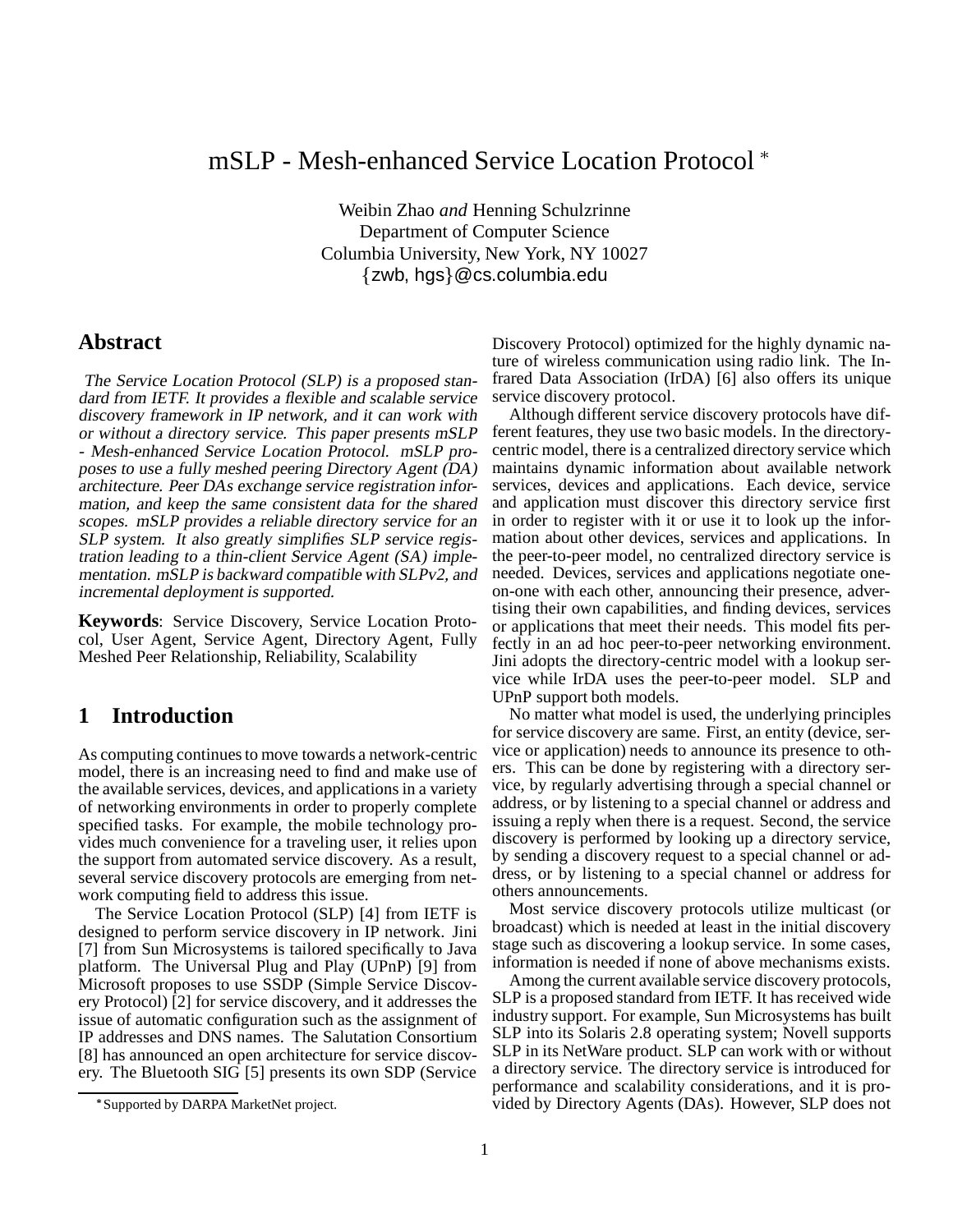# mSLP - Mesh-enhanced Service Location Protocol

Weibin Zhao *and* Henning Schulzrinne Department of Computer Science Columbia University, New York, NY 10027 {zwb, hgs}@cs.columbia.edu

### **Abstract**

The Service Location Protocol (SLP) is <sup>a</sup> proposed standard from IETF. It provides <sup>a</sup> flexible and scalable service discovery framework in IP network, and it can work with or without <sup>a</sup> directory service. This paper presents mSLP - Mesh-enhanced Service Location Protocol. mSLP proposes to use <sup>a</sup> fully meshed peering Directory Agent (DA) architecture. Peer DAs exchange service registration information, and keep the same consistent data for the shared scopes. mSLP provides <sup>a</sup> reliable directory service for an SLP system. It also greatly simplifies SLP service registration leading to <sup>a</sup> thin-client Service Agent (SA) implementation. mSLP is backward compatible with SLPv2, and incremental deployment is supported.

**Keywords**: Service Discovery, Service Location Protocol, User Agent, Service Agent, Directory Agent, Fully Meshed Peer Relationship, Reliability, Scalability

# **1 Introduction**

As computing continues to move towards a network-centric model, there is an increasing need to find and make use of the available services, devices, and applications in a variety of networking environments in order to properly complete specified tasks. For example, the mobile technology provides much convenience for a traveling user, it relies upon the support from automated service discovery. As a result, several service discovery protocols are emerging from network computing field to address this issue.

The Service Location Protocol (SLP) [4] from IETF is designed to perform service discovery in IP network. Jini [7] from Sun Microsystems is tailored specifically to Java platform. The Universal Plug and Play (UPnP) [9] from Microsoft proposes to use SSDP (Simple Service Discovery Protocol) [2] for service discovery, and it addresses the issue of automatic configuration such as the assignment of IP addresses and DNS names. The Salutation Consortium [8] has announced an open architecture for service discovery. The Bluetooth SIG [5] presents its own SDP (Service

Discovery Protocol) optimized for the highly dynamic nature of wireless communication using radio link. The Infrared Data Association (IrDA) [6] also offers its unique service discovery protocol.

Although different service discovery protocols have different features, they use two basic models. In the directorycentric model, there is a centralized directory service which maintains dynamic information about available network services, devices and applications. Each device, service and application must discover this directory service first in order to register with it or use it to look up the information about other devices, services and applications. In the peer-to-peer model, no centralized directory service is needed. Devices, services and applications negotiate oneon-one with each other, announcing their presence, advertising their own capabilities, and finding devices, services or applications that meet their needs. This model fits perfectly in an ad hoc peer-to-peer networking environment. Jini adopts the directory-centric model with a lookup service while IrDA uses the peer-to-peer model. SLP and UPnP support both models.

No matter what model is used, the underlying principles for service discovery are same. First, an entity (device, service or application) needs to announce its presence to others. This can be done by registering with a directory service, by regularly advertising through a special channel or address, or by listening to a special channel or address and issuing a reply when there is a request. Second, the service discovery is performed by looking up a directory service, by sending a discovery request to a special channel or address, or by listening to a special channel or address for others announcements.

Most service discovery protocols utilize multicast (or broadcast) which is needed at least in the initial discovery stage such as discovering a lookup service. In some cases, information is needed if none of above mechanisms exists.

Among the current available service discovery protocols, SLP is a proposed standard from IETF. It has received wide industry support. For example, Sun Microsystems has built SLP into its Solaris 2.8 operating system; Novell supports SLP in its NetWare product. SLP can work with or without a directory service. The directory service is introduced for performance and scalability considerations, and it is provided by Directory Agents (DAs). However, SLP does not

Supported by DARPA MarketNet project.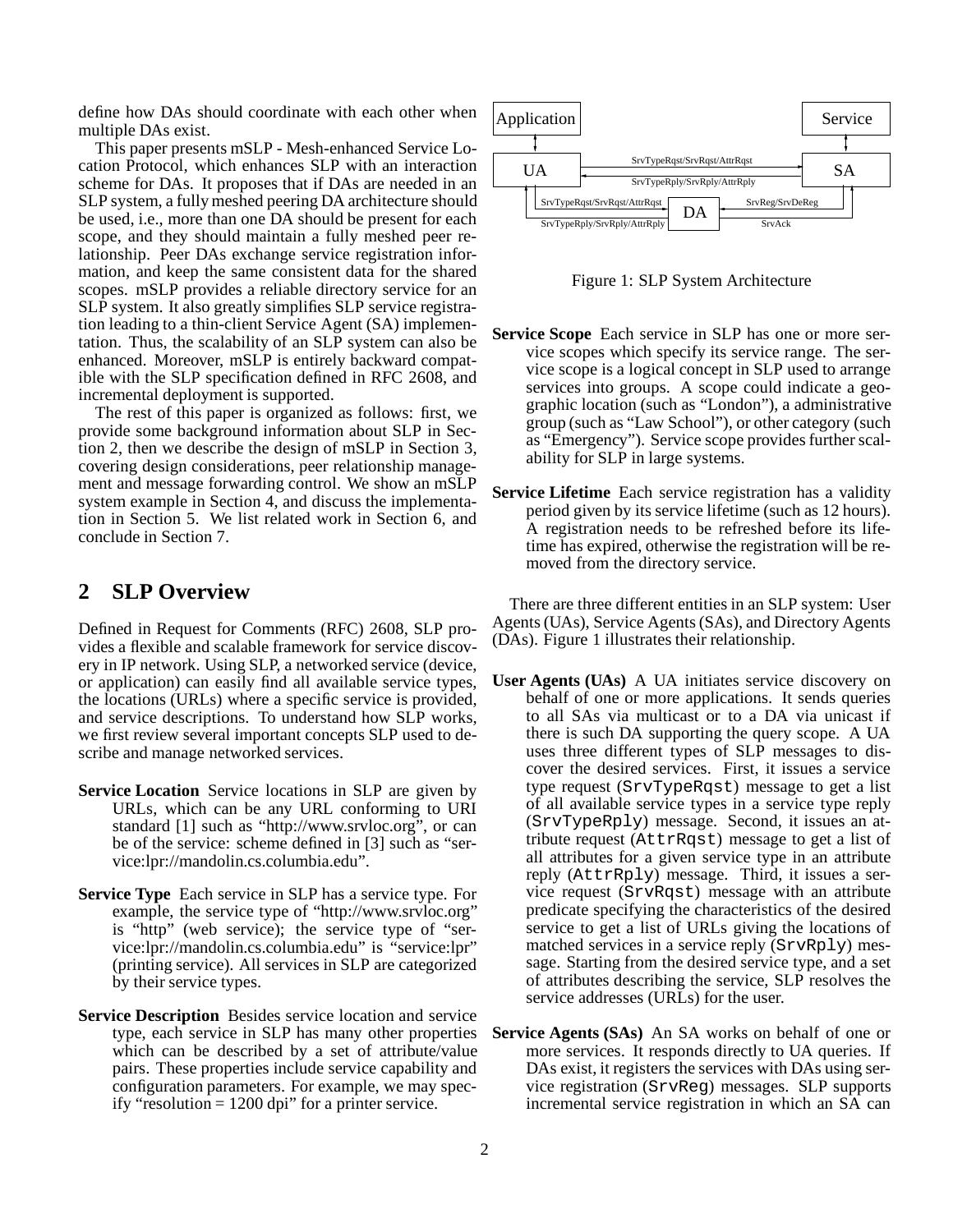define how DAs should coordinate with each other when multiple DAs exist.

This paper presents mSLP - Mesh-enhanced Service Location Protocol, which enhances SLP with an interaction scheme for DAs. It proposes that if DAs are needed in an SLP system, a fully meshed peering DA architecture should be used, i.e., more than one DA should be present for each scope, and they should maintain a fully meshed peer relationship. Peer DAs exchange service registration information, and keep the same consistent data for the shared scopes. mSLP provides a reliable directory service for an SLP system. It also greatly simplifies SLP service registration leading to a thin-client Service Agent (SA) implementation. Thus, the scalability of an SLP system can also be enhanced. Moreover, mSLP is entirely backward compatible with the SLP specification defined in RFC 2608, and incremental deployment is supported.

The rest of this paper is organized as follows: first, we provide some background information about SLP in Section 2, then we describe the design of mSLP in Section 3, covering design considerations, peer relationship management and message forwarding control. We show an mSLP system example in Section 4, and discuss the implementation in Section 5. We list related work in Section 6, and conclude in Section 7.

### **2 SLP Overview**

Defined in Request for Comments (RFC) 2608, SLP provides a flexible and scalable framework for service discovery in IP network. Using SLP, a networked service (device, or application) can easily find all available service types, the locations (URLs) where a specific service is provided, and service descriptions. To understand how SLP works, we first review several important concepts SLP used to describe and manage networked services.

- **Service Location** Service locations in SLP are given by URLs, which can be any URL conforming to URI standard [1] such as "http://www.srvloc.org", or can be of the service: scheme defined in [3] such as "service:lpr://mandolin.cs.columbia.edu".
- **Service Type** Each service in SLP has a service type. For example, the service type of "http://www.srvloc.org" is "http" (web service); the service type of "service:lpr://mandolin.cs.columbia.edu" is "service:lpr" (printing service). All services in SLP are categorized by their service types.
- **Service Description** Besides service location and service type, each service in SLP has many other properties which can be described by a set of attribute/value pairs. These properties include service capability and configuration parameters. For example, we may specify "resolution  $= 1200$  dpi" for a printer service.



Figure 1: SLP System Architecture

- **Service Scope** Each service in SLP has one or more service scopes which specify its service range. The service scope is a logical concept in SLP used to arrange services into groups. A scope could indicate a geographic location (such as "London"), a administrative group (such as "Law School"), or other category (such as "Emergency"). Service scope provides further scalability for SLP in large systems.
- **Service Lifetime** Each service registration has a validity period given by its service lifetime (such as 12 hours). A registration needs to be refreshed before its lifetime has expired, otherwise the registration will be removed from the directory service.

There are three different entities in an SLP system: User Agents (UAs), Service Agents (SAs), and Directory Agents (DAs). Figure 1 illustrates their relationship.

- **User Agents (UAs)** A UA initiates service discovery on behalf of one or more applications. It sends queries to all SAs via multicast or to a DA via unicast if there is such DA supporting the query scope. A UA uses three different types of SLP messages to discover the desired services. First, it issues a service type request (SrvTypeRqst) message to get a list of all available service types in a service type reply (SrvTypeRply) message. Second, it issues an attribute request (AttrRqst) message to get a list of all attributes for a given service type in an attribute reply (AttrRply) message. Third, it issues a service request (SrvRqst) message with an attribute predicate specifying the characteristics of the desired service to get a list of URLs giving the locations of matched services in a service reply (SrvRply) message. Starting from the desired service type, and a set of attributes describing the service, SLP resolves the service addresses (URLs) for the user.
- **Service Agents (SAs)** An SA works on behalf of one or more services. It responds directly to UA queries. If DAs exist, it registers the services with DAs using service registration (SrvReg) messages. SLP supports incremental service registration in which an SA can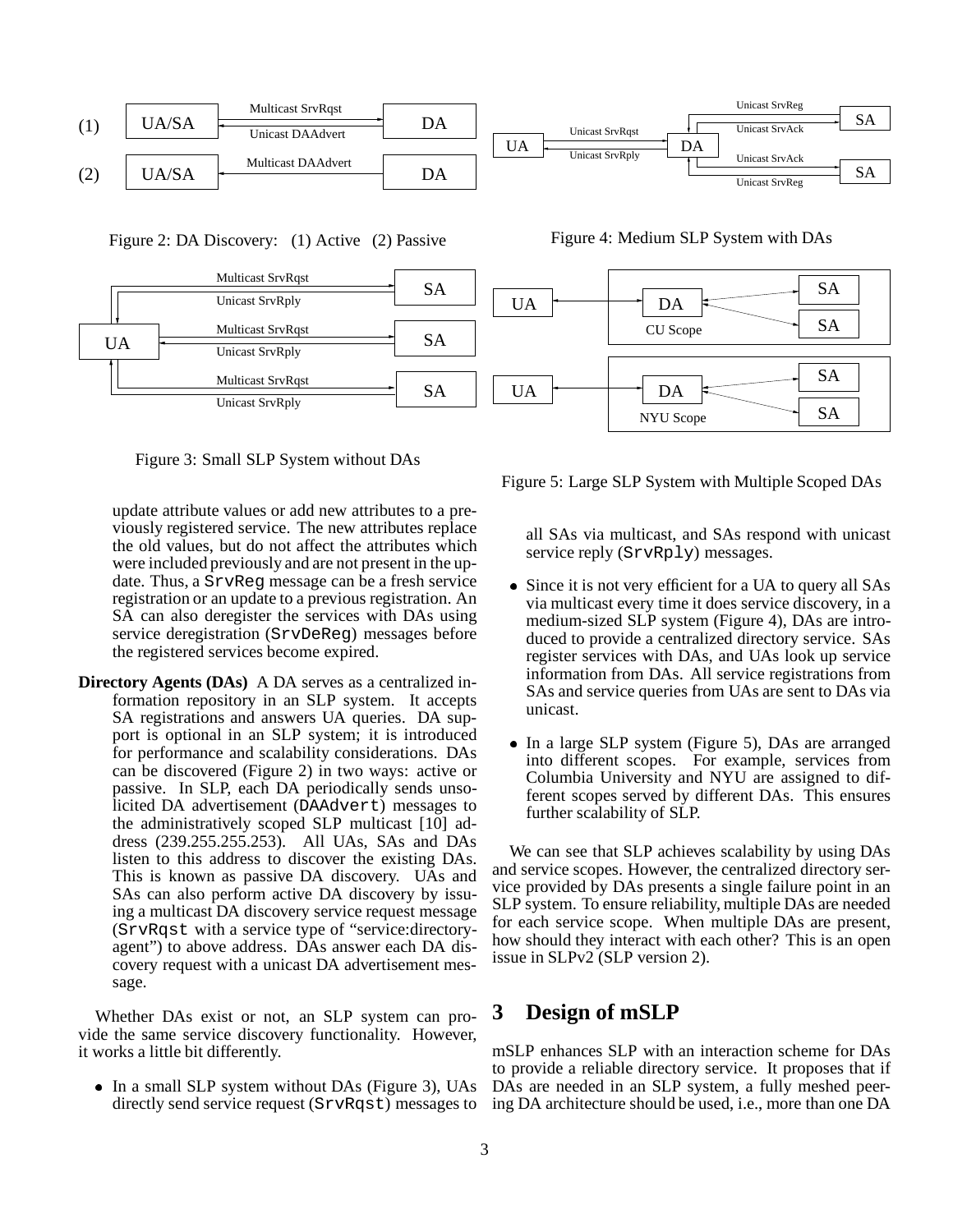

Figure 2: DA Discovery: (1) Active (2) Passive



Figure 3: Small SLP System without DAs

update attribute values or add new attributes to a previously registered service. The new attributes replace the old values, but do not affect the attributes which were included previously and are not present in the update. Thus, a SrvReg message can be a fresh service registration or an update to a previous registration. An SA can also deregister the services with DAs using service deregistration (SrvDeReg) messages before the registered services become expired.

**Directory Agents (DAs)** A DA serves as a centralized information repository in an SLP system. It accepts SA registrations and answers UA queries. DA support is optional in an SLP system; it is introduced for performance and scalability considerations. DAs can be discovered (Figure 2) in two ways: active or passive. In SLP, each DA periodically sends unsolicited DA advertisement (DAAdvert) messages to the administratively scoped SLP multicast [10] address (239.255.255.253). All UAs, SAs and DAs listen to this address to discover the existing DAs. This is known as passive DA discovery. UAs and SAs can also perform active DA discovery by issuing a multicast DA discovery service request message (SrvRqst with a service type of "service:directoryagent") to above address. DAs answer each DA discovery request with a unicast DA advertisement message.

Whether DAs exist or not, an SLP system can provide the same service discovery functionality. However, it works a little bit differently.

• In a small SLP system without DAs (Figure 3), UAs directly send service request (SrvRqst) messages to

Figure 4: Medium SLP System with DAs



Figure 5: Large SLP System with Multiple Scoped DAs

all SAs via multicast, and SAs respond with unicast service reply (SrvRply) messages.

- Since it is not very efficient for a UA to query all SAs via multicast every time it does service discovery, in a medium-sized SLP system (Figure 4), DAs are introduced to provide a centralized directory service. SAs register services with DAs, and UAs look up service information from DAs. All service registrations from SAs and service queries from UAs are sent to DAs via unicast.
- In a large SLP system (Figure 5), DAs are arranged into different scopes. For example, services from Columbia University and NYU are assigned to different scopes served by different DAs. This ensures further scalability of SLP.

We can see that SLP achieves scalability by using DAs and service scopes. However, the centralized directory service provided by DAs presents a single failure point in an SLP system. To ensure reliability, multiple DAs are needed for each service scope. When multiple DAs are present, how should they interact with each other? This is an open issue in SLPv2 (SLP version 2).

### **3 Design of mSLP**

mSLP enhances SLP with an interaction scheme for DAs to provide a reliable directory service. It proposes that if DAs are needed in an SLP system, a fully meshed peering DA architecture should be used, i.e., more than one DA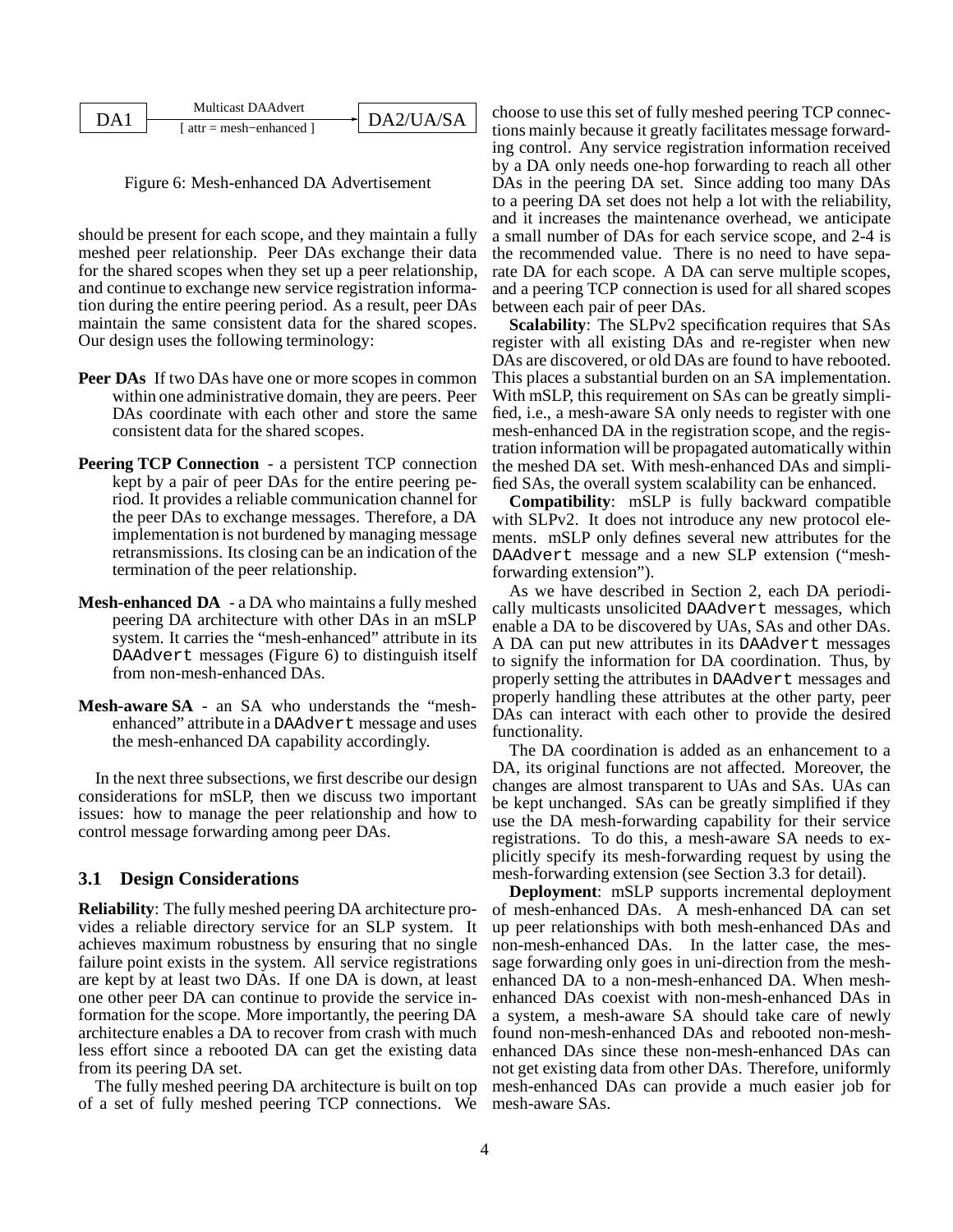| λA | Multicast DA Advert                    | DA2/IJA/SA |
|----|----------------------------------------|------------|
|    | $\lceil$ attr = mesh-enhanced $\lceil$ |            |

Figure 6: Mesh-enhanced DA Advertisement

should be present for each scope, and they maintain a fully meshed peer relationship. Peer DAs exchange their data for the shared scopes when they set up a peer relationship, and continue to exchange new service registration information during the entire peering period. As a result, peer DAs maintain the same consistent data for the shared scopes. Our design uses the following terminology:

- **Peer DAs** If two DAs have one or more scopes in common within one administrative domain, they are peers. Peer DAs coordinate with each other and store the same consistent data for the shared scopes.
- **Peering TCP Connection** a persistent TCP connection kept by a pair of peer DAs for the entire peering period. It provides a reliable communication channel for the peer DAs to exchange messages. Therefore, a DA implementation is not burdened by managing message retransmissions. Its closing can be an indication of the termination of the peer relationship.
- **Mesh-enhanced DA** a DA who maintains a fully meshed peering DA architecture with other DAs in an mSLP system. It carries the "mesh-enhanced" attribute in its DAAdvert messages (Figure 6) to distinguish itself from non-mesh-enhanced DAs.
- **Mesh-aware SA** an SA who understands the "meshenhanced" attribute in a DAAdvert message and uses the mesh-enhanced DA capability accordingly.

In the next three subsections, we first describe our design considerations for mSLP, then we discuss two important issues: how to manage the peer relationship and how to control message forwarding among peer DAs.

#### **3.1 Design Considerations**

**Reliability**: The fully meshed peering DA architecture provides a reliable directory service for an SLP system. It achieves maximum robustness by ensuring that no single failure point exists in the system. All service registrations are kept by at least two DAs. If one DA is down, at least one other peer DA can continue to provide the service information for the scope. More importantly, the peering DA architecture enables a DA to recover from crash with much less effort since a rebooted DA can get the existing data from its peering DA set.

The fully meshed peering DA architecture is built on top of a set of fully meshed peering TCP connections. We choose to use this set of fully meshed peering TCP connections mainly because it greatly facilitates message forwarding control. Any service registration information received by a DA only needs one-hop forwarding to reach all other DAs in the peering DA set. Since adding too many DAs to a peering DA set does not help a lot with the reliability, and it increases the maintenance overhead, we anticipate a small number of DAs for each service scope, and 2-4 is the recommended value. There is no need to have separate DA for each scope. A DA can serve multiple scopes, and a peering TCP connection is used for all shared scopes between each pair of peer DAs.

**Scalability**: The SLPv2 specification requires that SAs register with all existing DAs and re-register when new DAs are discovered, or old DAs are found to have rebooted. This places a substantial burden on an SA implementation. With mSLP, this requirement on SAs can be greatly simplified, i.e., a mesh-aware SA only needs to register with one mesh-enhanced DA in the registration scope, and the registration information will be propagated automatically within the meshed DA set. With mesh-enhanced DAs and simplified SAs, the overall system scalability can be enhanced.

**Compatibility**: mSLP is fully backward compatible with SLPv2. It does not introduce any new protocol elements. mSLP only defines several new attributes for the DAAdvert message and a new SLP extension ("meshforwarding extension").

As we have described in Section 2, each DA periodically multicasts unsolicited DAAdvert messages, which enable a DA to be discovered by UAs, SAs and other DAs. A DA can put new attributes in its DAAdvert messages to signify the information for DA coordination. Thus, by properly setting the attributes in DAAdvert messages and properly handling these attributes at the other party, peer DAs can interact with each other to provide the desired functionality.

The DA coordination is added as an enhancement to a DA, its original functions are not affected. Moreover, the changes are almost transparent to UAs and SAs. UAs can be kept unchanged. SAs can be greatly simplified if they use the DA mesh-forwarding capability for their service registrations. To do this, a mesh-aware SA needs to explicitly specify its mesh-forwarding request by using the mesh-forwarding extension (see Section 3.3 for detail).

**Deployment**: mSLP supports incremental deployment of mesh-enhanced DAs. A mesh-enhanced DA can set up peer relationships with both mesh-enhanced DAs and non-mesh-enhanced DAs. In the latter case, the message forwarding only goes in uni-direction from the meshenhanced DA to a non-mesh-enhanced DA. When meshenhanced DAs coexist with non-mesh-enhanced DAs in a system, a mesh-aware SA should take care of newly found non-mesh-enhanced DAs and rebooted non-meshenhanced DAs since these non-mesh-enhanced DAs can not get existing data from other DAs. Therefore, uniformly mesh-enhanced DAs can provide a much easier job for mesh-aware SAs.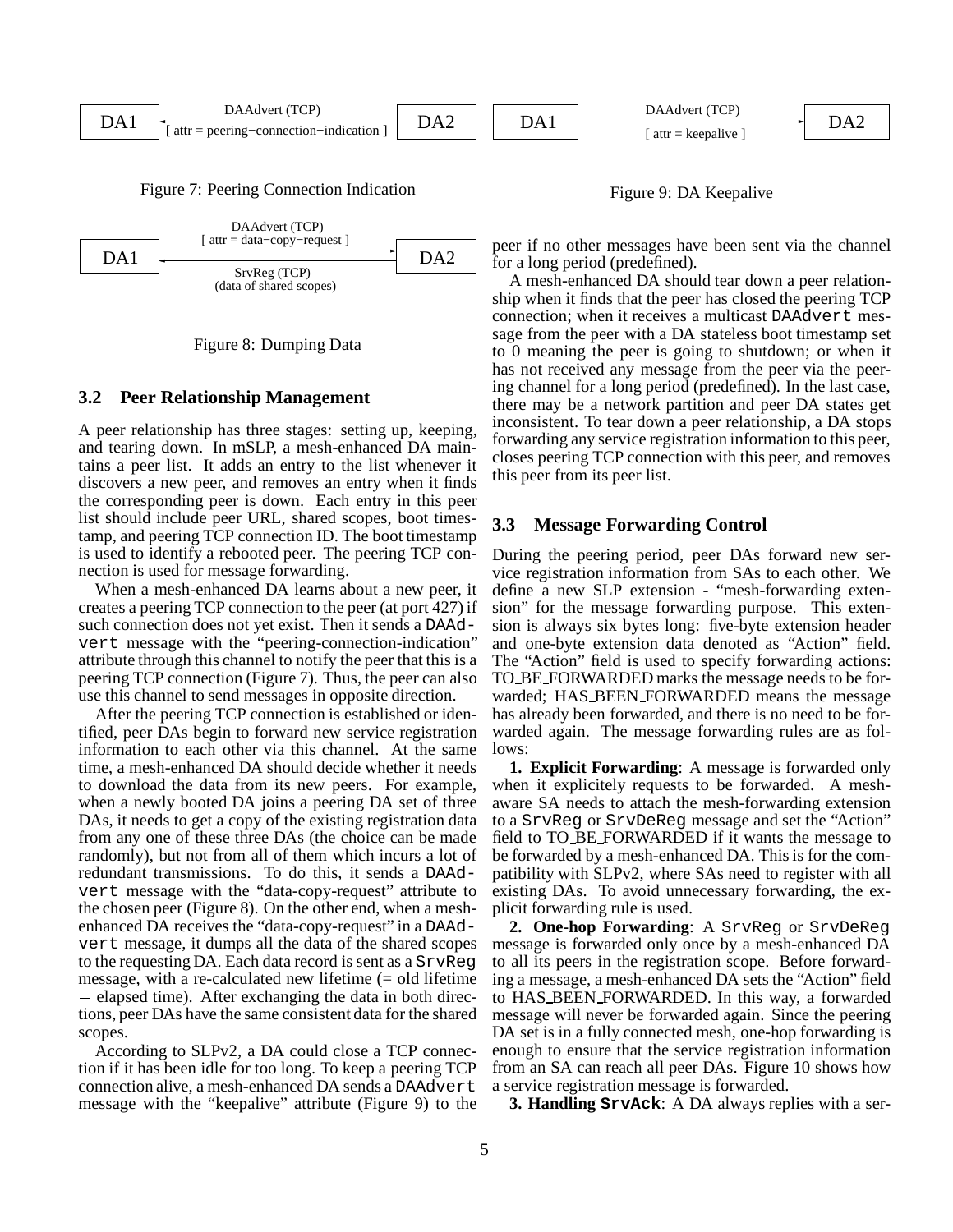

Figure 7: Peering Connection Indication





#### **3.2 Peer Relationship Management**

A peer relationship has three stages: setting up, keeping, and tearing down. In mSLP, a mesh-enhanced DA maintains a peer list. It adds an entry to the list whenever it discovers a new peer, and removes an entry when it finds the corresponding peer is down. Each entry in this peer list should include peer URL, shared scopes, boot timestamp, and peering TCP connection ID. The boot timestamp is used to identify a rebooted peer. The peering TCP connection is used for message forwarding.

When a mesh-enhanced DA learns about a new peer, it creates a peering TCP connection to the peer (at port 427) if such connection does not yet exist. Then it sends a DAAdvert message with the "peering-connection-indication" attribute through this channel to notify the peer that this is a peering TCP connection (Figure 7). Thus, the peer can also use this channel to send messages in opposite direction.

After the peering TCP connection is established or identified, peer DAs begin to forward new service registration information to each other via this channel. At the same time, a mesh-enhanced DA should decide whether it needs to download the data from its new peers. For example, when a newly booted DA joins a peering DA set of three DAs, it needs to get a copy of the existing registration data from any one of these three DAs (the choice can be made randomly), but not from all of them which incurs a lot of redundant transmissions. To do this, it sends a DAAdvert message with the "data-copy-request" attribute to the chosen peer (Figure 8). On the other end, when a meshenhanced DA receives the "data-copy-request" in a DAAdvert message, it dumps all the data of the shared scopes to the requesting DA. Each data record is sent as a SrvReg message, with a re-calculated new lifetime (= old lifetime - elapsed time). After exchanging the data in both directions, peer DAs have the same consistent data for the shared scopes.

According to SLPv2, a DA could close a TCP connection if it has been idle for too long. To keep a peering TCP connection alive, a mesh-enhanced DA sends a DAAdvert message with the "keepalive" attribute (Figure 9) to the

Figure 9: DA Keepalive

peer if no other messages have been sent via the channel for a long period (predefined).

A mesh-enhanced DA should tear down a peer relationship when it finds that the peer has closed the peering TCP connection; when it receives a multicast DAAdvert message from the peer with a DA stateless boot timestamp set to 0 meaning the peer is going to shutdown; or when it has not received any message from the peer via the peering channel for a long period (predefined). In the last case, there may be a network partition and peer DA states get inconsistent. To tear down a peer relationship, a DA stops forwarding any service registration information to this peer, closes peering TCP connection with this peer, and removes this peer from its peer list.

#### **3.3 Message Forwarding Control**

During the peering period, peer DAs forward new service registration information from SAs to each other. We define a new SLP extension - "mesh-forwarding extension" for the message forwarding purpose. This extension is always six bytes long: five-byte extension header and one-byte extension data denoted as "Action" field. The "Action" field is used to specify forwarding actions: TO BE FORWARDED marks the message needs to be forwarded; HAS BEEN FORWARDED means the message has already been forwarded, and there is no need to be forwarded again. The message forwarding rules are as follows:

**1. Explicit Forwarding**: A message is forwarded only when it explicitely requests to be forwarded. A meshaware SA needs to attach the mesh-forwarding extension to a SrvReg or SrvDeReg message and set the "Action" field to TO BE FORWARDED if it wants the message to be forwarded by a mesh-enhanced DA. This is for the compatibility with SLPv2, where SAs need to register with all existing DAs. To avoid unnecessary forwarding, the explicit forwarding rule is used.

**2. One-hop Forwarding**: A SrvReg or SrvDeReg message is forwarded only once by a mesh-enhanced DA to all its peers in the registration scope. Before forwarding a message, a mesh-enhanced DA sets the "Action" field to HAS BEEN FORWARDED. In this way, a forwarded message will never be forwarded again. Since the peering DA set is in a fully connected mesh, one-hop forwarding is enough to ensure that the service registration information from an SA can reach all peer DAs. Figure 10 shows how a service registration message is forwarded.

**3. Handling SrvAck**: A DA always replies with a ser-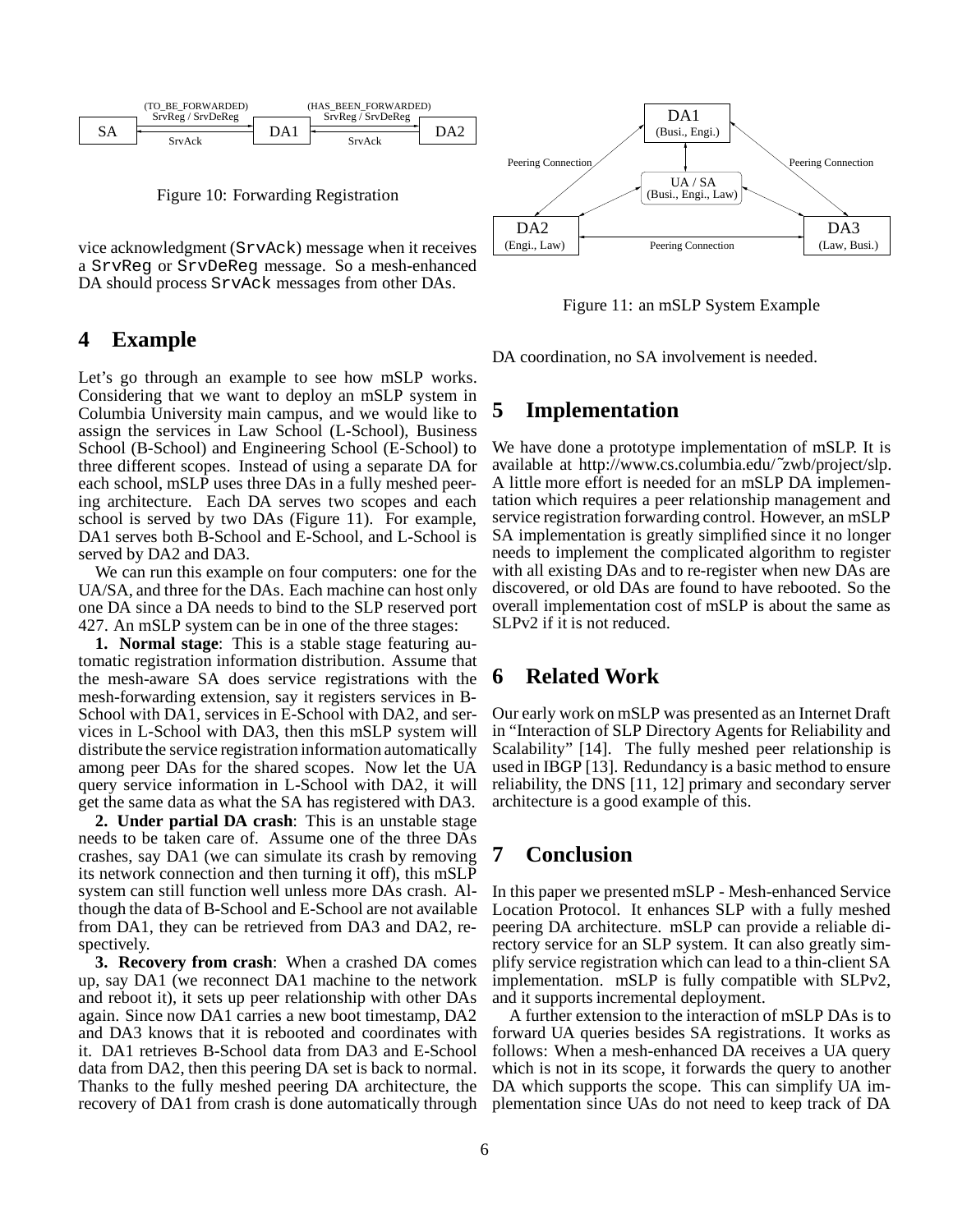

Figure 10: Forwarding Registration

vice acknowledgment (SrvAck) message when it receives a SrvReg or SrvDeReg message. So a mesh-enhanced DA should process SrvAck messages from other DAs.

### **4 Example**

Let's go through an example to see how mSLP works. Considering that we want to deploy an mSLP system in Columbia University main campus, and we would like to assign the services in Law School (L-School), Business School (B-School) and Engineering School (E-School) to three different scopes. Instead of using a separate DA for each school, mSLP uses three DAs in a fully meshed peering architecture. Each DA serves two scopes and each school is served by two DAs (Figure 11). For example, DA1 serves both B-School and E-School, and L-School is served by DA2 and DA3.

We can run this example on four computers: one for the UA/SA, and three for the DAs. Each machine can host only one DA since a DA needs to bind to the SLP reserved port 427. An mSLP system can be in one of the three stages:

**1. Normal stage**: This is a stable stage featuring automatic registration information distribution. Assume that the mesh-aware SA does service registrations with the mesh-forwarding extension, say it registers services in B-School with DA1, services in E-School with DA2, and services in L-School with DA3, then this mSLP system will distribute the service registration information automatically among peer DAs for the shared scopes. Now let the UA query service information in L-School with DA2, it will get the same data as what the SA has registered with DA3.

**2. Under partial DA crash**: This is an unstable stage needs to be taken care of. Assume one of the three DAs crashes, say DA1 (we can simulate its crash by removing its network connection and then turning it off), this mSLP system can still function well unless more DAs crash. Although the data of B-School and E-School are not available from DA1, they can be retrieved from DA3 and DA2, respectively.

**3. Recovery from crash**: When a crashed DA comes up, say DA1 (we reconnect DA1 machine to the network and reboot it), it sets up peer relationship with other DAs again. Since now DA1 carries a new boot timestamp, DA2 and DA3 knows that it is rebooted and coordinates with it. DA1 retrieves B-School data from DA3 and E-School data from DA2, then this peering DA set is back to normal. Thanks to the fully meshed peering DA architecture, the recovery of DA1 from crash is done automatically through



Figure 11: an mSLP System Example

DA coordination, no SA involvement is needed.

### **5 Implementation**

We have done a prototype implementation of mSLP. It is available at http://www.cs.columbia.edu/˜zwb/project/slp. A little more effort is needed for an mSLP DA implementation which requires a peer relationship management and service registration forwarding control. However, an mSLP SA implementation is greatly simplified since it no longer needs to implement the complicated algorithm to register with all existing DAs and to re-register when new DAs are discovered, or old DAs are found to have rebooted. So the overall implementation cost of mSLP is about the same as SLPv2 if it is not reduced.

## **6 Related Work**

Our early work on mSLP was presented as an Internet Draft in "Interaction of SLP Directory Agents for Reliability and Scalability" [14]. The fully meshed peer relationship is used in IBGP [13]. Redundancy is a basic method to ensure reliability, the DNS [11, 12] primary and secondary server architecture is a good example of this.

# **7 Conclusion**

In this paper we presented mSLP - Mesh-enhanced Service Location Protocol. It enhances SLP with a fully meshed peering DA architecture. mSLP can provide a reliable directory service for an SLP system. It can also greatly simplify service registration which can lead to a thin-client SA implementation. mSLP is fully compatible with SLPv2, and it supports incremental deployment.

A further extension to the interaction of mSLP DAs is to forward UA queries besides SA registrations. It works as follows: When a mesh-enhanced DA receives a UA query which is not in its scope, it forwards the query to another DA which supports the scope. This can simplify UA implementation since UAs do not need to keep track of DA